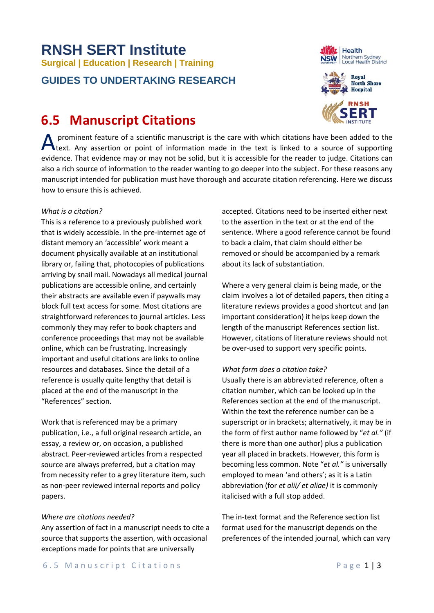# **RNSH SERT Institute Surgical | Education | Research | Training**

### **GUIDES TO UNDERTAKING RESEARCH**

## **6.5 Manuscript Citations**

prominent feature of a scientific manuscript is the care with which citations have been added to the A prominent feature of a scientific manuscript is the care with which citations have been added to the lext. Any assertion or point of information made in the text is linked to a source of supporting evidence. That evidence may or may not be solid, but it is accessible for the reader to judge. Citations can also a rich source of information to the reader wanting to go deeper into the subject. For these reasons any manuscript intended for publication must have thorough and accurate citation referencing. Here we discuss how to ensure this is achieved.

#### *What is a citation?*

This is a reference to a previously published work that is widely accessible. In the pre-internet age of distant memory an 'accessible' work meant a document physically available at an institutional library or, failing that, photocopies of publications arriving by snail mail. Nowadays all medical journal publications are accessible online, and certainly their abstracts are available even if paywalls may block full text access for some. Most citations are straightforward references to journal articles. Less commonly they may refer to book chapters and conference proceedings that may not be available online, which can be frustrating. Increasingly important and useful citations are links to online resources and databases. Since the detail of a reference is usually quite lengthy that detail is placed at the end of the manuscript in the "References" section.

Work that is referenced may be a primary publication, i.e., a full original research article, an essay, a review or, on occasion, a published abstract. Peer-reviewed articles from a respected source are always preferred, but a citation may from necessity refer to a grey literature item, such as non-peer reviewed internal reports and policy papers.

#### *Where are citations needed?*

Any assertion of fact in a manuscript needs to cite a source that supports the assertion, with occasional exceptions made for points that are universally

accepted. Citations need to be inserted either next to the assertion in the text or at the end of the sentence. Where a good reference cannot be found to back a claim, that claim should either be removed or should be accompanied by a remark about its lack of substantiation.

Where a very general claim is being made, or the claim involves a lot of detailed papers, then citing a literature reviews provides a good shortcut and (an important consideration) it helps keep down the length of the manuscript References section list. However, citations of literature reviews should not be over-used to support very specific points.

#### *What form does a citation take?*

Usually there is an abbreviated reference, often a citation number, which can be looked up in the References section at the end of the manuscript. Within the text the reference number can be a superscript or in brackets; alternatively, it may be in the form of first author name followed by "*et al."* (if there is more than one author) plus a publication year all placed in brackets. However, this form is becoming less common. Note "*et al."* is universally employed to mean 'and others'; as it is a Latin abbreviation (for *et alii/ et aliae)* it is commonly italicised with a full stop added.

The in-text format and the Reference section list format used for the manuscript depends on the preferences of the intended journal, which can vary



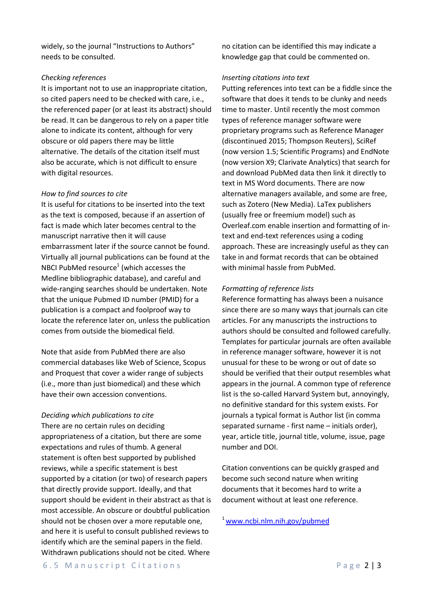widely, so the journal "Instructions to Authors" needs to be consulted.

#### *Checking references*

It is important not to use an inappropriate citation, so cited papers need to be checked with care, i.e., the referenced paper (or at least its abstract) should be read. It can be dangerous to rely on a paper title alone to indicate its content, although for very obscure or old papers there may be little alternative. The details of the citation itself must also be accurate, which is not difficult to ensure with digital resources.

#### *How to find sources to cite*

It is useful for citations to be inserted into the text as the text is composed, because if an assertion of fact is made which later becomes central to the manuscript narrative then it will cause embarrassment later if the source cannot be found. Virtually all journal publications can be found at the NBCI PubMed resource<sup>1</sup> (which accesses the Medline bibliographic database), and careful and wide-ranging searches should be undertaken. Note that the unique Pubmed ID number (PMID) for a publication is a compact and foolproof way to locate the reference later on, unless the publication comes from outside the biomedical field.

Note that aside from PubMed there are also commercial databases like Web of Science, Scopus and Proquest that cover a wider range of subjects (i.e., more than just biomedical) and these which have their own accession conventions.

#### *Deciding which publications to cite*

There are no certain rules on deciding appropriateness of a citation, but there are some expectations and rules of thumb. A general statement is often best supported by published reviews, while a specific statement is best supported by a citation (or two) of research papers that directly provide support. Ideally, and that support should be evident in their abstract as that is most accessible. An obscure or doubtful publication should not be chosen over a more reputable one, and here it is useful to consult published reviews to identify which are the seminal papers in the field. Withdrawn publications should not be cited. Where

no citation can be identified this may indicate a knowledge gap that could be commented on.

#### *Inserting citations into text*

Putting references into text can be a fiddle since the software that does it tends to be clunky and needs time to master. Until recently the most common types of reference manager software were proprietary programs such as Reference Manager (discontinued 2015; Thompson Reuters), SciRef (now version 1.5; Scientific Programs) and EndNote (now version X9; Clarivate Analytics) that search for and download PubMed data then link it directly to text in MS Word documents. There are now alternative managers available, and some are free, such as Zotero (New Media). LaTex publishers (usually free or freemium model) such as Overleaf.com enable insertion and formatting of intext and end-text references using a coding approach. These are increasingly useful as they can take in and format records that can be obtained with minimal hassle from PubMed.

#### *Formatting of reference lists*

Reference formatting has always been a nuisance since there are so many ways that journals can cite articles. For any manuscripts the instructions to authors should be consulted and followed carefully. Templates for particular journals are often available in reference manager software, however it is not unusual for these to be wrong or out of date so should be verified that their output resembles what appears in the journal. A common type of reference list is the so-called Harvard System but, annoyingly, no definitive standard for this system exists. For journals a typical format is Author list (in comma separated surname - first name – initials order), year, article title, journal title, volume, issue, page number and DOI.

Citation conventions can be quickly grasped and become such second nature when writing documents that it becomes hard to write a document without at least one reference.

[1 www.ncbi.nlm.nih.gov/pubmed](http://www.ncbi.nlm.nih.gov/pubmed)